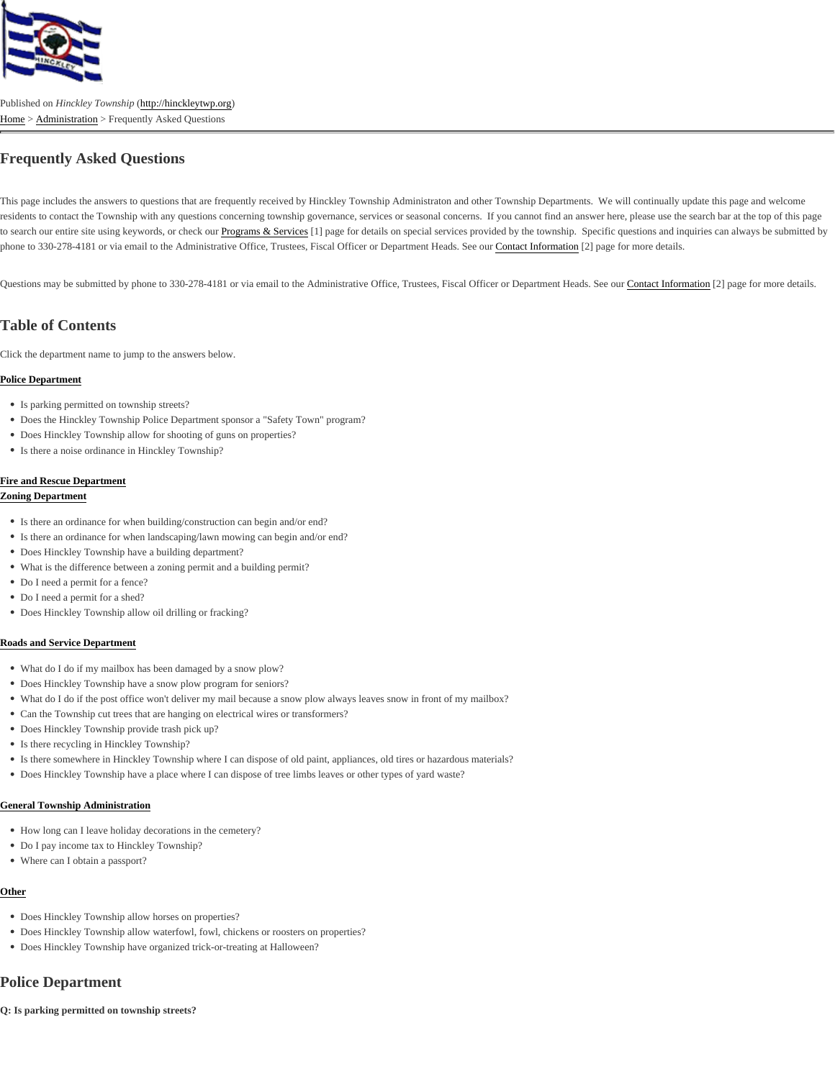# Frequently Asked Questions

This page includes the answers to questions that are frequently received by Hinckley Township Administraton and other Township Departments. We will continually update this page an residents to contact the Township with any questions concerning township governance, services or seasonal concerns. If you cannot find an answer here, please use the search bar at t to search our entire site using keywords, or check **Programs & Service**<sup>[4]</sup> page for details on special services provided by the township. Specific questions and inquiries can always be su phone to 330-278-4181 or via email to the Administrative Office, Trustees, Fiscal Officer or Department HeadsCortact Information<sup>[2]</sup> page for more details.

Questions may be submitted by phone to 330-278-4181 or via email to the Administrative Office, Trustees, Fiscal Officer or Department He**©dstaed normation**[2] page for more details.

# Table of Contents

Click the department name to jump to the answers below.

# Police Department

- Is parking permitted on township streets?
- Does the Hinckley Township Police Department sponsor a "Safety Town" program?
- Does Hinckley Township allow for shooting of guns on properties?
- Is there a noise ordinance in Hinckley Township?

# Fire and Rescue Department

#### Zoning Department

- Is there an ordinance for when building/construction can begin and/or end?
- Is there an ordinance for when landscaping/lawn mowing can begin and/or end?
- Does Hinckley Township have a building department?
- What is the difference between a zoning permit and a building permit?
- Do I need a permit for a fence?
- Do I need a permit for a shed?
- Does Hinckley Township allow oil drilling or fracking?

# Roads and Service Department

- What do I do if my mailbox has been damaged by a snow plow?
- Does Hinckley Township have a snow plow program for seniors?
- What do I do if the post office won't deliver my mail because a snow plow always leaves snow in front of my mailbox?
- Can the Township cut trees that are hanging on electrical wires or transformers?
- Does Hinckley Township provide trash pick up?
- Is there recycling in Hinckley Township?
- Is there somewhere in Hinckley Township where I can dispose of old paint, appliances, old tires or hazardous materials?
- Does Hinckley Township have a place where I can dispose of tree limbs leaves or other types of yard waste?

# General Township Administration

- How long can I leave holiday decorations in the cemetery?
- Do I pay income tax to Hinckley Township?
- Where can I obtain a passport?

# Other

- Does Hinckley Township allow horses on properties?
- Does Hinckley Township allow waterfowl, fowl, chickens or roosters on properties?
- Does Hinckley Township have organized trick-or-treating at Halloween?

# Police Department

Q: Is parking permitted on township streets?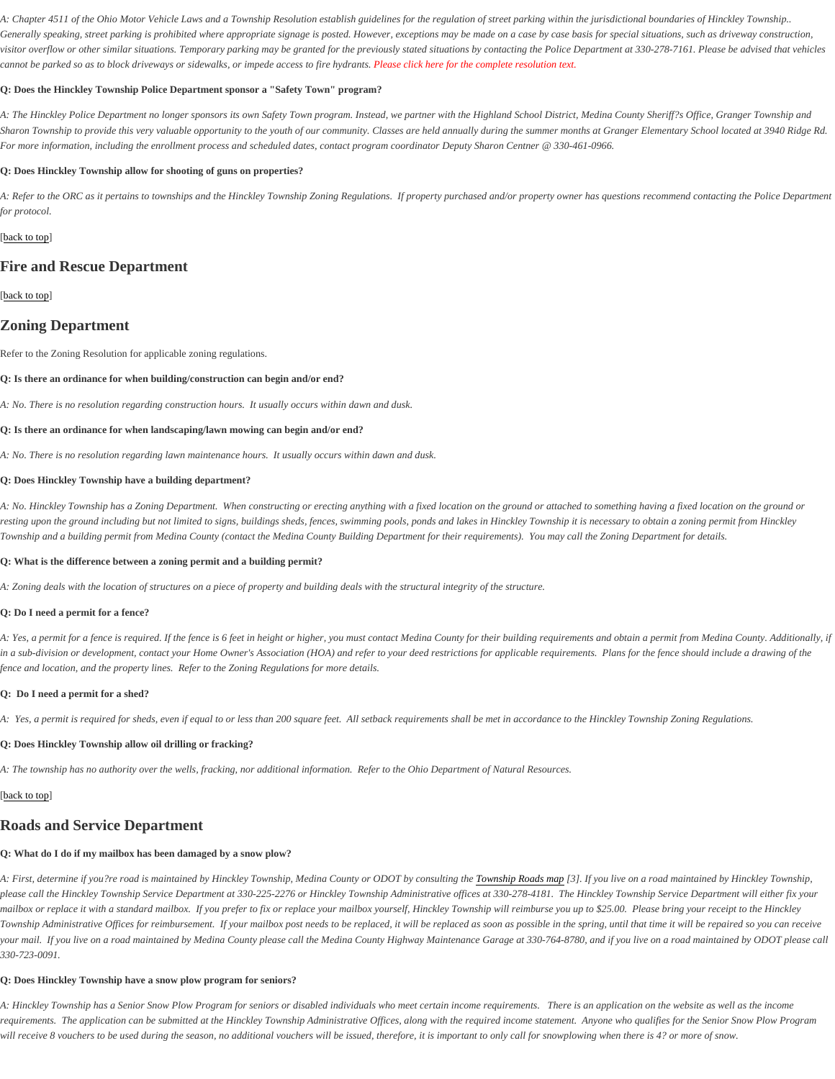A: Chapter 4511 of the Ohio Motor Vehicle Laws and a Township Resolution establish guidelines for the regulation of street parking within the jurisdictional boundaries of Hinckley Town Generally speaking, street parking is prohibited where appropriate signage is posted. However, exceptions may be made on a case by case basis for special situations, such as drivewa visitor overflow or other similar situations. Temporary parking may be granted for the previously stated situations by contacting the Police Department at 330-278-7161. Please be advise cannot be parked so as to block driveways or sidewalks, or impede access to fire h**Rteasesclick here for the complete resolution text**.

Q: Does the Hinckley Township Police Department sponsor a "Safety Town" program?

A: The Hinckley Police Department no longer sponsors its own Safety Town program. Instead, we partner with the Highland School District, Medina County Sheriff?s Office, Granger Town Sharon Township to provide this very valuable opportunity to the youth of our community. Classes are held annually during the summer months at Granger Elementary School located at For more information, including the enrollment process and scheduled dates, contact program coordinator Deputy Sharon Centner @ 330-461-0966.

Q: Does Hinckley Township allow for shooting of guns on properties?

A: Refer to the ORC as it pertains to townships and the Hinckley Township Zoning Regulations. If property purchased and/or property owner has questions recommend contacting the P for protocol.

#### [back to top

# Fire and Rescue Department

#### [back to top

# Zoning Department

Refer to the Zoning Resolution for applicable zoning regulations.

- Q: Is there an ordinance for when building/construction can begin and/or end?
- A: No. There is no resolution regarding construction hours. It usually occurs within dawn and dusk.
- Q: Is there an ordinance for when landscaping/lawn mowing can begin and/or end?
- A: No. There is no resolution regarding lawn maintenance hours. It usually occurs within dawn and dusk.
- Q: Does Hinckley Township have a building department?

A: No. Hinckley Township has a Zoning Department. When constructing or erecting anything with a fixed location on the ground or attached to something having a fixed location on the g resting upon the ground including but not limited to signs, buildings sheds, fences, swimming pools, ponds and lakes in Hinckley Township it is necessary to obtain a zoning permit from Township and a building permit from Medina County (contact the Medina County Building Department for their requirements). You may call the Zoning Department for details.

- Q: What is the difference between a zoning permit and a building permit?
- A: Zoning deals with the location of structures on a piece of property and building deals with the structural integrity of the structure.
- Q: Do I need a permit for a fence?

A: Yes, a permit for a fence is requiredthe fence is 6 feet in height or higher, you must contact Medina County for their building requiremdentsain a permit from Medina County. Additionally in a sub-division or development, contact your Home Owner's Association (HOA) and refer to your deed restrictions for applicable requirements. Plans for the fence should include a dra fence and location, and the property lines. Refer to the Zoning Regulations for more details.

Q: Do I need a permit for a shed?

A: Yes, a permit is required for sheds, even if equal to or less than 200 square feet. All setback requirements shall be met in accordance to the Hinckley Township Zoning Regulations.

Q: Does Hinckley Township allow oil drilling or fracking?

A: The township has no authority over the wells, fracking, nor additional information. Refer to the Ohio Department of Natural Resources.

# [back to top

# Roads and Service Department

Q: What do I do if my mailbox has been damaged by a snow plow?

A: First, determine if you?re road is maintained by Hinckley Township, Medina County or ODOT by consulton Enguntabip Roads mang]. If you live on a road maintained by Hinckley Township, please call the Hinckley Township Service Department at 330-225-2276 or Hinckley Township Administrative offices at 330-278-4181. The Hinckley Township Service Department will e mailbox or replace it with a standard mailbox. If you prefer to fix or replace your mailbox yourself, Hinckley Township will reimburse you up to \$25.00. Please bring your receipt to the Hinckley Township Administrative Offices for reimbursement. If your mailbox post needs to be replaced, it will be replaced as soon as possible in the spring, until that time it will be repaired so yo your mail. If you live on a road maintained by Medina County please call the Medina County Highway Maintenance Garage at 330-764-8780, and if you live on a road maintained by OD 330-723-0091.

Q: Does Hinckley Township have a snow plow program for seniors?

A: Hinckley Township has a Senior Snow Plow Program for seniors or disabled individuals who meet certain income requirements. There is an application on the website as well as the requirements. The application can be submitted at the Hinckley Township Administrative Offices, along with the required income statement. Anyone who qualifies for the Senior Snow F will receive 8 vouchers to be used during the season, no additional vouchers will be issued, therefore, it is important to only call for snowplowing when there is 4? or more of snow.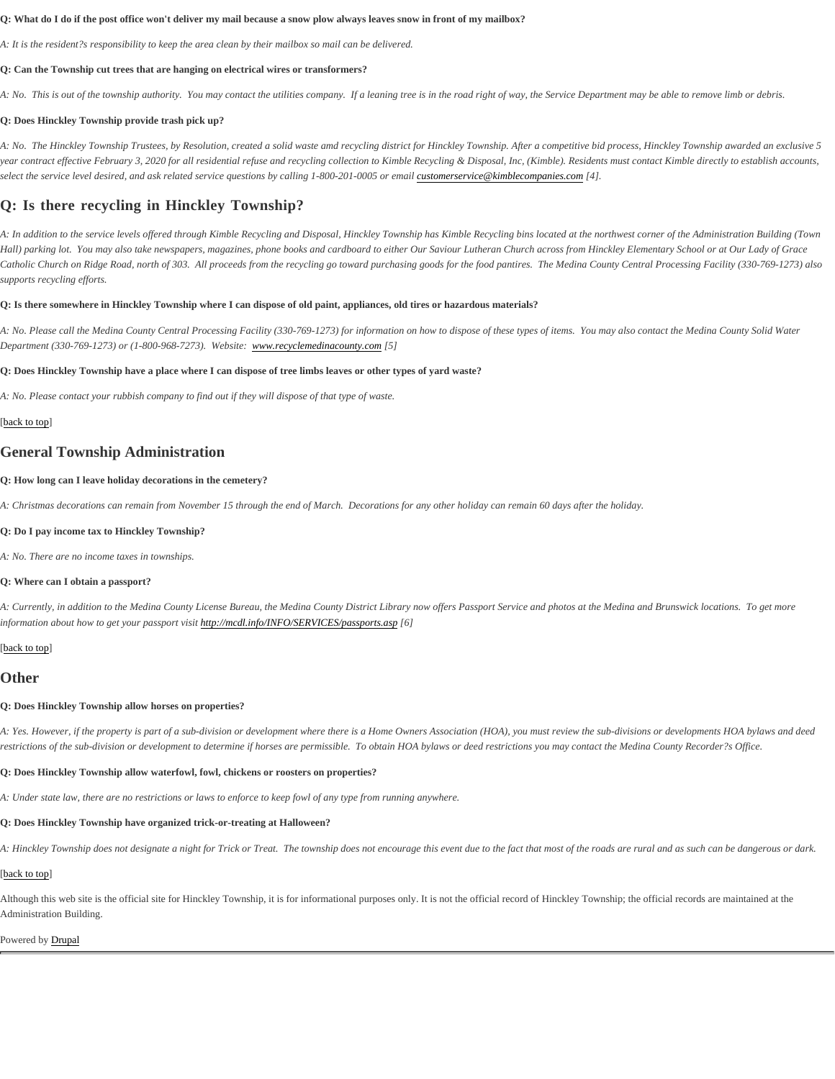Q: What do I do if the post office won't deliver my mail because a snow plow always leaves snow in front of my mailbox?

A: It is the resident?s responsibility to keep the area clean by their mailbox so mail can be delivered.

Q: Can the Township cut trees that are hanging on electrical wires or transformers?

A: No. This is out of the township authority. You may contact the utilities company. If a leaning tree is in the road right of way, the Service Department may be able to remove limb or debt

Q: Does Hinckley Township provide trash pick up?

A: No. The Hinckley Township Trustees, by Resolution, created a solid waste amd recycling district for Hinckley Township. After a competitive bid process, Hinckley Township awarded year contract effective February 3, 2020 for all residential refuse and recycling collection to Kimble Recycling & Disposal, Inc, (Kimble). Residents must contact Kimble directly to establis select the service level desired, and ask related service questions by calling 1-800-201-0005 out the service @kimblecompanies. $d\phi$ 

# Q: Is there recycling in Hinckley Township?

A: In addition to the service levels offered through Kimble Recycling and Disposal, Hinckley Township has Kimble Recycling bins located at the northwest corner of the Administration Bu Hall) parking lot. You may also take newspapers, magazines, phone books and cardboard to either Our Saviour Lutheran Church across from Hinckley Elementary School or at Our Lady Catholic Church on Ridge Road, north of 303. All proceeds from the recycling go toward purchasing goods for the food pantires. The Medina County Central Processing Facility (330-76 supports recycling efforts.

Q: Is there somewhere in Hinckley Township where I can dispose of old paint, appliances, old tires or hazardous materials?

A: No. Please call the Medina County Central Processing Facility (330-769-1273) for information on how to dispose of these types of items. You may also contact the Medina County So Department (330-769-1273) or (1-800-968-7273). Websitew.recyclemedinacounty.cqfoj

Q: Does Hinckley Township have a place where I can dispose of tree limbs leaves or other types of yard waste?

A: No. Please contact your rubbish company to find out if they will dispose of that type of waste.

#### [back to top

# General Township Administration

Q: How long can I leave holiday decorations in the cemetery?

A: Christmas decorations can remain from November 15 through the end of March. Decorations for any other holiday can remain 60 days after the holiday.

Q: Do I pay income tax to Hinckley Township?

A: No. There are no income taxes in townships.

Q: Where can I obtain a passport?

A: Currently, in addition to the Medina County License Bureau, the Medina County District Library now offers Passport Service and photos at the Medina and Brunswick locations. To ge information about how to get your passport vistip://mcdl.info/INFO/SERVICES/passports.asp

#### [back to top

## **Other**

Q: Does Hinckley Township allow horses on properties?

A: Yes. However, if the property is part of a sub-division or development where there is a Home Owners Association (HOA), you must review the sub-divisions or developments HOA byl restrictions of the sub-division or development to determine if horses are permissible. To obtain HOA bylaws or deed restrictions you may contact the Medina County Recorder?s Office

Q: Does Hinckley Township allow waterfowl, fowl, chickens or roosters on properties?

A: Under state law, there are no restrictions or laws to enforce to keep fowl of any type from running anywhere.

Q: Does Hinckley Township have organized trick-or-treating at Halloween?

A: Hinckley Township does not designate a night for Trick or Treat. The township does not encourage this event due to the fact that most of the roads are rural and as such can be dangerous

# [back to top

Although this web site is the official site for Hinckley Township, it is for informational purposes only. It is not the official record of Hinckley Township; the official records are maintained at Administration Building.

#### Powered b[y Drupal](https://www.drupal.org)